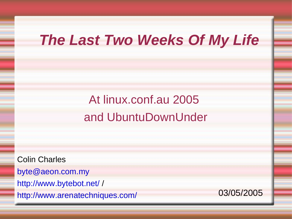### **The Last Two Weeks Of My Life**

### At linux.conf.au 2005 and UbuntuDownUnder

Colin Charles [byte@aeon.com.my](mailto:byte@aeon.com.my) <http://www.bytebot.net/> / <http://www.arenatechniques.com/> 03/05/2005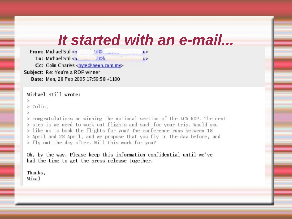#### **It started with an e-mail...**

From: Michael Still <n **till**® .u≫  $12<sup>o</sup>$ Cc: Colin Charles <br/> <br/>byte@aeon.com.my> Subject: Re: You're a RDP winner Date: Mon, 28 Feb 2005 17:59:58 +1100

Michael Still wrote:

 $\gg$ 

 $>$  Colin,  $\geq$ 

> congratulations on winning the national section of the LCA RDP. The next > step is we need to work out flights and such for your trip. Would you > like us to book the flights for you? The conference runs between 18 > April and 23 April, and we propose that you fly in the day before, and > fly out the day after. Will this work for you?

Oh, by the way. Please keep this information confidential until we've had the time to get the press release together.

Thanks, Mikal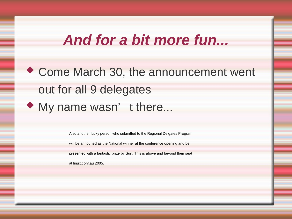#### **And for a bit more fun...**

 Come March 30, the announcement went out for all 9 delegates My name wasn' t there...

> Also another lucky person who submitted to the Regional Delgates Program will be announed as the National winner at the conference opening and be presented with a fantastic prize by Sun. This is above and beyond their seat at linux.conf.au 2005.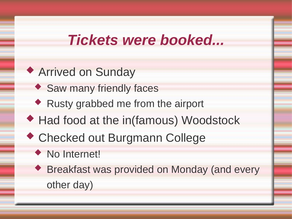### **Tickets were booked...**

#### ◆ Arrived on Sunday

- ◆ Saw many friendly faces
- ◆ Rusty grabbed me from the airport
- Had food at the in(famous) Woodstock
- Checked out Burgmann College
	- ◆ No Internet!
	- ◆ Breakfast was provided on Monday (and every other day)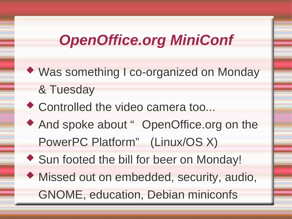# **OpenOffice.org MiniConf**

- Was something I co-organized on Monday & Tuesday ◆ Controlled the video camera too... And spoke about " OpenOffice.org on the PowerPC Platform" (Linux/OS X) Sun footed the bill for beer on Monday! Missed out on embedded, security, audio,
	- GNOME, education, Debian miniconfs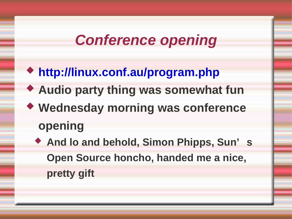### **Conference opening**

- **<http://linux.conf.au/program.php> Audio party thing was somewhat fun**
- **Wednesday morning was conference opening**
	- **And lo and behold, Simon Phipps, Sun' s Open Source honcho, handed me a nice, pretty gift**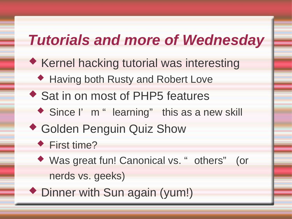# **Tutorials and more of Wednesday**

- **Kernel hacking tutorial was interesting** 
	- ◆ Having both Rusty and Robert Love
- ◆ Sat in on most of PHP5 features
	- ◆ Since I' m " learning" this as a new skill
- Golden Penguin Quiz Show
	- ◆ First time?
	- ◆ Was great fun! Canonical vs. " others" (or nerds vs. geeks)
- ◆ Dinner with Sun again (yum!)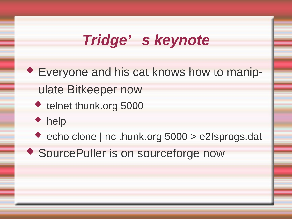## **Tridge' s keynote**

 Everyone and his cat knows how to manipulate Bitkeeper now

- ◆ telnet thunk.org 5000
- ◆ help

◆ echo clone | nc thunk.org 5000 > e2fsprogs.dat

SourcePuller is on sourceforge now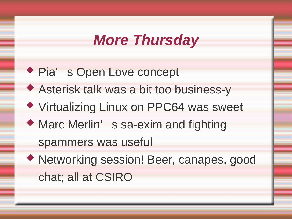# **More Thursday**

 Pia' s Open Love concept Asterisk talk was a bit too business-y Virtualizing Linux on PPC64 was sweet ◆ Marc Merlin's sa-exim and fighting spammers was useful Networking session! Beer, canapes, good chat; all at CSIRO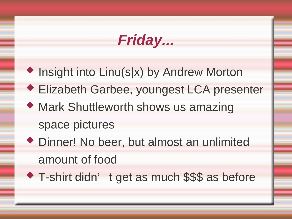# **Friday...**

**Insight into Linu(s|x) by Andrew Morton**  Elizabeth Garbee, youngest LCA presenter Mark Shuttleworth shows us amazing space pictures Dinner! No beer, but almost an unlimited amount of food

◆ T-shirt didn' t get as much \$\$\$ as before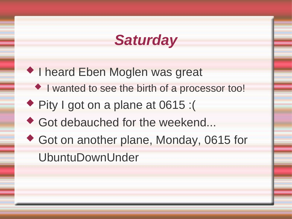## **Saturday**

- **I heard Eben Moglen was great** 
	- $\bullet$  I wanted to see the birth of a processor too!
- ◆ Pity I got on a plane at 0615 :(
- ◆ Got debauched for the weekend...
- ◆ Got on another plane, Monday, 0615 for UbuntuDownUnder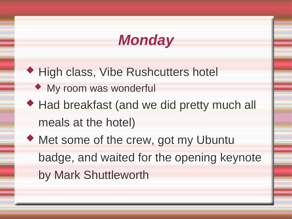# **Monday**

◆ High class, Vibe Rushcutters hotel My room was wonderful Had breakfast (and we did pretty much all meals at the hotel) Met some of the crew, got my Ubuntu badge, and waited for the opening keynote by Mark Shuttleworth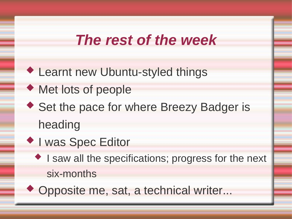## **The rest of the week**

- Learnt new Ubuntu-styled things ◆ Met lots of people ◆ Set the pace for where Breezy Badger is heading ◆ I was Spec Editor
	- ◆ I saw all the specifications; progress for the next six-months

Opposite me, sat, a technical writer...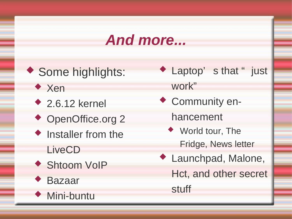## **And more...**

- Some highlights:
	- ◆ Xen
	- ◆ 2.6.12 kernel
	- ◆ OpenOffice.org 2
	- $\bullet$  Installer from the LiveCD
	- ◆ Shtoom VoIP
	- Bazaar
	- ◆ Mini-buntu
- ◆ Laptop's that " just work"
- Community en
	- hancement
	- World tour, The Fridge, News letter
- Launchpad, Malone, Hct, and other secret stuff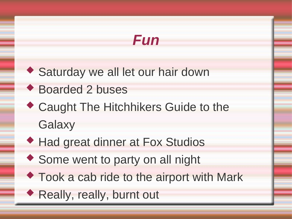# **Fun**

◆ Saturday we all let our hair down Boarded 2 buses ◆ Caught The Hitchhikers Guide to the **Galaxy** 

- ◆ Had great dinner at Fox Studios
- ◆ Some went to party on all night
- **Took a cab ride to the airport with Mark**
- Really, really, burnt out